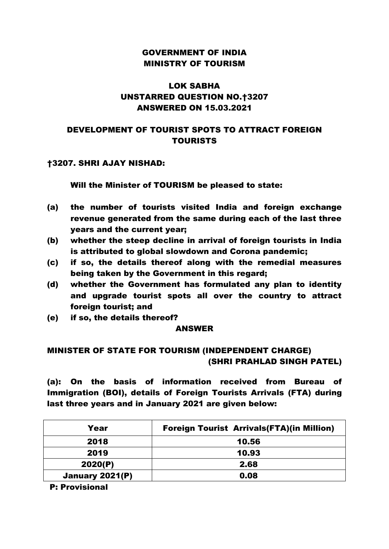### GOVERNMENT OF INDIA MINISTRY OF TOURISM

# LOK SABHA UNSTARRED QUESTION NO.†3207 ANSWERED ON 15.03.2021

### DEVELOPMENT OF TOURIST SPOTS TO ATTRACT FOREIGN TOURISTS

#### †3207. SHRI AJAY NISHAD:

#### Will the Minister of TOURISM be pleased to state:

- (a) the number of tourists visited India and foreign exchange revenue generated from the same during each of the last three years and the current year;
- (b) whether the steep decline in arrival of foreign tourists in India is attributed to global slowdown and Corona pandemic;
- (c) if so, the details thereof along with the remedial measures being taken by the Government in this regard;
- (d) whether the Government has formulated any plan to identity and upgrade tourist spots all over the country to attract foreign tourist; and
- (e) if so, the details thereof?

#### ANSWER

# MINISTER OF STATE FOR TOURISM (INDEPENDENT CHARGE) (SHRI PRAHLAD SINGH PATEL)

(a): On the basis of information received from Bureau of Immigration (BOI), details of Foreign Tourists Arrivals (FTA) during last three years and in January 2021 are given below:

| Year            | <b>Foreign Tourist Arrivals (FTA) (in Million)</b> |
|-----------------|----------------------------------------------------|
| 2018            | 10.56                                              |
| 2019            | 10.93                                              |
| 2020(P)         | 2.68                                               |
| January 2021(P) | 0.08                                               |

P: Provisional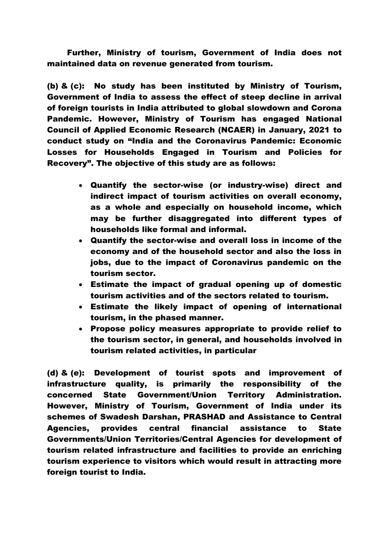Further, Ministry of tourism, Government of India does not maintained data on revenue generated from tourism.

(b) & (c): No study has been instituted by Ministry of Tourism, Government of India to assess the effect of steep decline in arrival of foreign tourists in India attributed to global slowdown and Corona Pandemic. However, Ministry of Tourism has engaged National Council of Applied Economic Research (NCAER) in January, 2021 to conduct study on "India and the Coronavirus Pandemic: Economic Losses for Households Engaged in Tourism and Policies for Recovery". The objective of this study are as follows:

- Quantify the sector-wise (or industry-wise) direct and indirect impact of tourism activities on overall economy, as a whole and especially on household income, which may be further disaggregated into different types of households like formal and informal.
- Quantify the sector-wise and overall loss in income of the economy and of the household sector and also the loss in jobs, due to the impact of Coronavirus pandemic on the tourism sector.
- Estimate the impact of gradual opening up of domestic tourism activities and of the sectors related to tourism.
- Estimate the likely impact of opening of international tourism, in the phased manner.
- Propose policy measures appropriate to provide relief to the tourism sector, in general, and households involved in tourism related activities, in particular

(d) & (e): Development of tourist spots and improvement of infrastructure quality, is primarily the responsibility of the concerned State Government/Union Territory Administration. However, Ministry of Tourism, Government of India under its schemes of Swadesh Darshan, PRASHAD and Assistance to Central Agencies, provides central financial assistance to State Governments/Union Territories/Central Agencies for development of tourism related infrastructure and facilities to provide an enriching tourism experience to visitors which would result in attracting more foreign tourist to India.